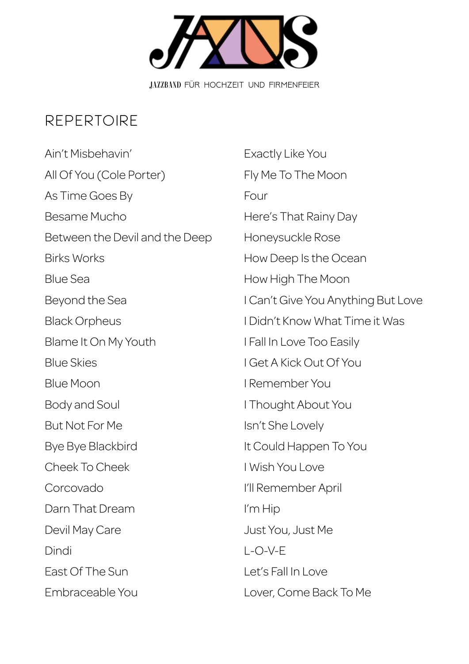

## Repertoire

Ain't Misbehavin' All Of You (Cole Porter) As Time Goes By Besame Mucho Between the Devil and the Deep Birks Works Blue Sea Beyond the Sea Black Orpheus Blame It On My Youth Blue Skies Blue Moon Body and Soul But Not For Me Bye Bye Blackbird Cheek To Cheek Corcovado Darn That Dream Devil May Care Dindi East Of The Sun Embraceable You

Exactly Like You Fly Me To The Moon Four Here's That Rainy Day Honeysuckle Rose How Deep Is the Ocean How High The Moon I Can't Give You Anything But Love I Didn't Know What Time it Was I Fall In Love Too Easily I Get A Kick Out Of You I Remember You I Thought About You Isn't She Lovely It Could Happen To You I Wish You Love I'll Remember April I'm Hip Just You, Just Me  $I - O - V - F$ Let's Fall In Love Lover, Come Back To Me